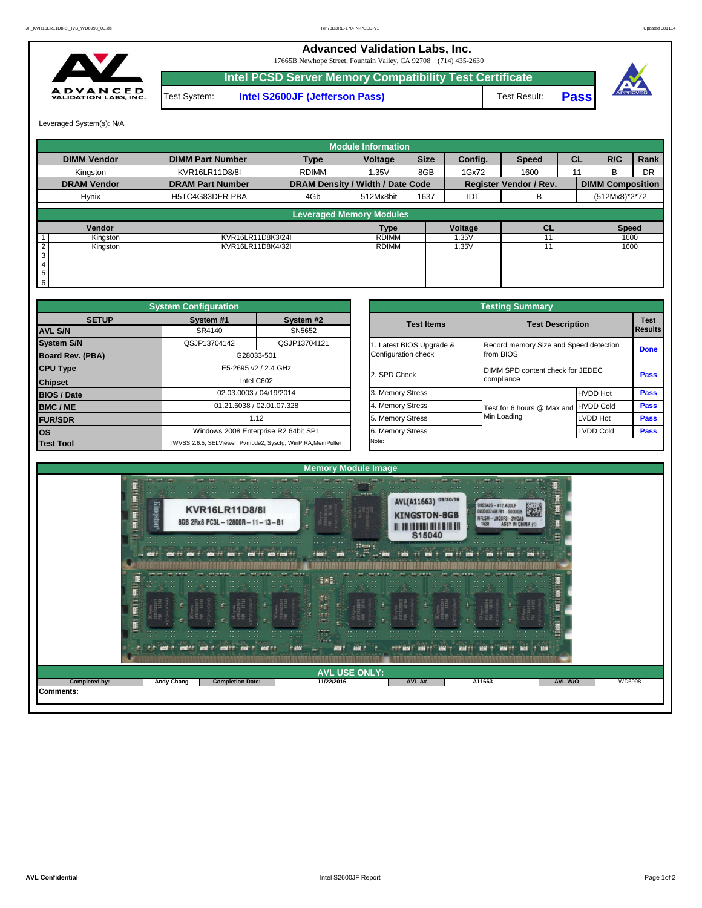**Advanced Validation Labs, Inc.** 

17665B Newhope Street, Fountain Valley, CA 92708 (714) 435-2630



**Intel PCSD Server Memory Compatibility Test Certificate** Test System: **Intel S2600JF (Jefferson Pass)** Test Result:



Leveraged System(s): N/A

|                            |                         |                                  | <b>Module Information</b> |             |         |                               |           |                         |           |
|----------------------------|-------------------------|----------------------------------|---------------------------|-------------|---------|-------------------------------|-----------|-------------------------|-----------|
| <b>DIMM Vendor</b>         | <b>DIMM Part Number</b> | <b>Type</b>                      | Voltage                   | <b>Size</b> | Config. | <b>Speed</b>                  | <b>CL</b> | R/C                     | Rank      |
| Kingston                   | KVR16LR11D8/8I          | <b>RDIMM</b>                     | 1.35V                     | 8GB         | 1Gx72   | 1600                          | 11        | <sub>R</sub>            | <b>DR</b> |
| <b>DRAM Vendor</b>         | <b>DRAM Part Number</b> | DRAM Density / Width / Date Code |                           |             |         | <b>Register Vendor / Rev.</b> |           | <b>DIMM Composition</b> |           |
| Hynix                      | H5TC4G83DFR-PBA         | 4Gb                              | 512Mx8bit                 | 1637        | IDT     | В                             |           | (512Mx8)*2*72           |           |
|                            |                         | <b>Leveraged Memory Modules</b>  |                           |             |         |                               |           |                         |           |
| Vendor                     |                         |                                  | <b>Type</b>               |             | Voltage | <b>CL</b>                     |           | <b>Speed</b>            |           |
| Kingston                   | KVR16LR11D8K3/24I       |                                  | <b>RDIMM</b>              |             | 1.35V   |                               |           | 1600                    |           |
| $\overline{2}$<br>Kingston | KVR16LR11D8K4/32I       |                                  | <b>RDIMM</b>              |             | i.35V   |                               |           | 1600                    |           |
| 3                          |                         |                                  |                           |             |         |                               |           |                         |           |
| 4                          |                         |                                  |                           |             |         |                               |           |                         |           |
| 5                          |                         |                                  |                           |             |         |                               |           |                         |           |
| 6                          |                         |                                  |                           |             |         |                               |           |                         |           |

|                                | <b>System Configuration</b> |                                                             | <b>Testing Summary</b> |                   |                                        |                  |                                |  |  |  |  |  |  |
|--------------------------------|-----------------------------|-------------------------------------------------------------|------------------------|-------------------|----------------------------------------|------------------|--------------------------------|--|--|--|--|--|--|
| <b>SETUP</b><br><b>AVL S/N</b> | System #1<br>SR4140         | System #2<br>SN5652                                         |                        | <b>Test Items</b> | <b>Test Description</b>                |                  | <b>Test</b><br><b>I</b> Result |  |  |  |  |  |  |
|                                |                             |                                                             |                        |                   |                                        |                  |                                |  |  |  |  |  |  |
| <b>System S/N</b>              | QSJP13704142                | QSJP13704121                                                | Latest BIOS Upgrade &  |                   | Record memory Size and Speed detection |                  | Done                           |  |  |  |  |  |  |
| Board Rev. (PBA)               |                             | G28033-501                                                  | Configuration check    |                   | from BIOS                              |                  |                                |  |  |  |  |  |  |
| <b>CPU Type</b>                |                             | E5-2695 v2 / 2.4 GHz                                        | 2. SPD Check           |                   | DIMM SPD content check for JEDEC       |                  | Pass                           |  |  |  |  |  |  |
| <b>Chipset</b>                 |                             | Intel C602                                                  |                        |                   | compliance                             |                  |                                |  |  |  |  |  |  |
| <b>BIOS / Date</b>             |                             | 02.03.0003 / 04/19/2014                                     | 3. Memory Stress       |                   |                                        | <b>HVDD Hot</b>  | Pass                           |  |  |  |  |  |  |
| <b>BMC/ME</b>                  |                             | 01.21.6038 / 02.01.07.328                                   | 4. Memory Stress       |                   | Test for 6 hours @ Max and HVDD Cold   |                  | Pass                           |  |  |  |  |  |  |
| <b>FUR/SDR</b>                 |                             | 1.12                                                        | 5. Memory Stress       |                   | Min Loading                            | LVDD Hot         | Pass                           |  |  |  |  |  |  |
| <b>los</b>                     |                             | Windows 2008 Enterprise R2 64bit SP1                        |                        | 6. Memory Stress  |                                        | <b>LVDD Cold</b> | Pass                           |  |  |  |  |  |  |
| <b>Test Tool</b>               |                             | iWVSS 2.6.5, SELViewer, Pvmode2, Syscfg, WinPIRA, MemPuller | Note:                  |                   |                                        |                  |                                |  |  |  |  |  |  |

|                          | <b>Testing Summary</b>                          |                                                     |                  |                               |  |  |  |  |  |
|--------------------------|-------------------------------------------------|-----------------------------------------------------|------------------|-------------------------------|--|--|--|--|--|
| System #2<br>SN5652      | <b>Test Items</b>                               | <b>Test Description</b>                             |                  | <b>Test</b><br><b>Results</b> |  |  |  |  |  |
| QSJP13704121             | 1. Latest BIOS Upgrade &<br>Configuration check | Record memory Size and Speed detection<br>from BIOS |                  | <b>Done</b>                   |  |  |  |  |  |
| <b>GHz</b>               | 2. SPD Check                                    | DIMM SPD content check for JEDEC<br>compliance      | Pass             |                               |  |  |  |  |  |
| /2014                    | 3. Memory Stress                                |                                                     | <b>HVDD Hot</b>  | Pass                          |  |  |  |  |  |
| 07.328                   | 4. Memory Stress                                | Test for 6 hours @ Max and                          | <b>HVDD Cold</b> | <b>Pass</b>                   |  |  |  |  |  |
|                          | 5. Memory Stress                                | Min Loading                                         | <b>LVDD Hot</b>  | <b>Pass</b>                   |  |  |  |  |  |
| R <sub>2</sub> 64bit SP1 | 6. Memory Stress                                |                                                     | <b>LVDD Cold</b> | <b>Pass</b>                   |  |  |  |  |  |
| cfg, WinPIRA, MemPuller  | Note:                                           |                                                     |                  |                               |  |  |  |  |  |